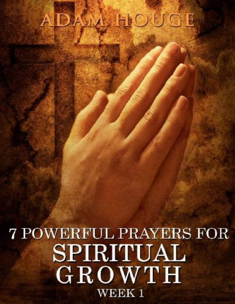# ADAM HOUGE

## **7 POWERFUL PRAYERS FOR** SPIRITUAL GROWTH WEEK<sub>1</sub>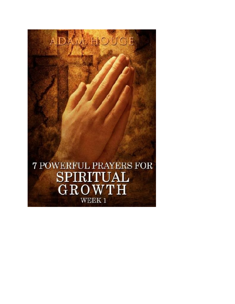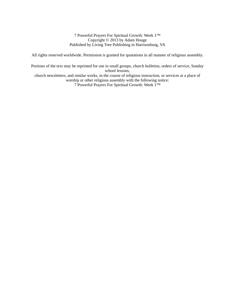7 Powerful Prayers For Spiritual Growth: Week 1™ Copyright © 2013 by Adam Houge Published by Living Tree Publishing in Harrisonburg, VA

All rights reserved worldwide. Permission is granted for quotations in all manner of religious assembly.

Portions of the text may be reprinted for use in small groups, church bulletins, orders of service, Sunday school lessons, church newsletters, and similar works, in the course of religious instruction, or services at a place of worship or other religious assembly with the following notice:

7 Powerful Prayers For Spiritual Growth: Week 1™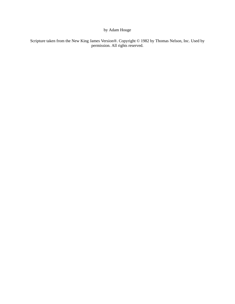#### by Adam Houge

Scripture taken from the New King James Version®. Copyright © 1982 by Thomas Nelson, Inc. Used by permission. All rights reserved.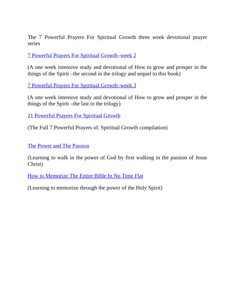The 7 Powerful Prayers For Spiritual Growth three week devotional prayer series

7 Powerful Prayers For Spiritual [Growth–week](http://www.amazon.com/Prayers-Prosperity-Sequel-Devotionals-ebook/dp/B00CL45Z2Q/ref=la_B00C5TWNAO_1_5?ie=UTF8&qid=1367553888&sr=1-5) 2

(A one week intensive study and devotional of How to grow and prosper in the things of the Spirit –the second in the trilogy and sequel to this book)

7 Powerful Prayers For Spiritual [Growth–week](http://www.amazon.com/Prayers-Prosperity-Trilogy-Devotionals-ebook/dp/B00CLDQJHC/ref=la_B00C5TWNAO_1_4?ie=UTF8&qid=1367553678&sr=1-4) 3

(A one week intensive study and devotional of How to grow and prosper in the things of the Spirit –the last in the trilogy)

21 [Powerful](http://www.amazon.com/Prayers-Prosperity-Trilogy-Devotionals-ebook/dp/B00CLFDIN8/ref=la_B00C5TWNAO_1_3?ie=UTF8&qid=1367553450&sr=1-3) Prayers For Spiritual Growth

(The Full 7 Powerful Prayers of. Spiritual Growth compilation)

The Power and The [Passion](http://www.amazon.com/The-Power-And-Passion-ebook/dp/B00C5ND15Q/ref=sr_1_3?s=digital-text&ie=UTF8&qid=1366977891&sr=1-3&keywords=adam+houge)

(Learning to walk in the power of God by first walking in the passion of Jesus Christ)

How to [Memorize](http://www.amazon.com/Memorize-Entire-Bible-Time-ebook/dp/B00C7CZRDO/ref=sr_1_1?s=digital-text&ie=UTF8&qid=1366980562&sr=1-1&keywords=adam+houge) The Entire Bible In No Time Flat

(Learning to memorize through the power of the Holy Spirit)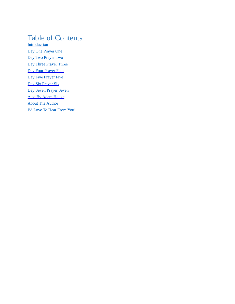### Table of Contents

**[Introduction](#page-6-0)** Day One [Prayer](#page-9-0) One Day Two [Prayer](#page-14-0) Two Day Three [Prayer](#page-20-0) Three Day Four [Prayer](#page-26-0) Four Day Five [Prayer](#page-35-0) Five Day Six [Prayer](#page-38-0) Six Day Seven [Prayer](#page-42-0) Seven Also By Adam [Houge](#page-46-0) About The [Author](#page-47-0) I'd Love To Hear [From](#page-48-0) You!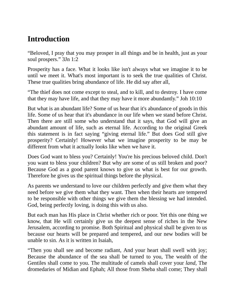## <span id="page-6-0"></span>**Introduction**

"Beloved, I pray that you may prosper in all things and be in health, just as your soul prospers." 3Jn 1:2

Prosperity has a face. What it looks like isn't always what we imagine it to be until we meet it. What's most important is to seek the true qualities of Christ. These true qualities bring abundance of life. He did say after all,

"The thief does not come except to steal, and to kill, and to destroy. I have come that they may have life, and that they may have it more abundantly." Joh 10:10

But what is an abundant life? Some of us hear that it's abundance of goods in this life. Some of us hear that it's abundance in our life when we stand before Christ. Then there are still some who understand that it says, that God will give an abundant amount of life, such as eternal life. According to the original Greek this statement is in fact saying "giving eternal life." But does God still give prosperity? Certainly! However what we imagine prosperity to be may be different from what it actually looks like when we have it.

Does God want to bless you? Certainly! You're his precious beloved child. Don't you want to bless your children? But why are some of us still broken and poor? Because God as a good parent knows to give us what is best for our growth. Therefore he gives us the spiritual things before the physical.

As parents we understand to love our children perfectly and give them what they need before we give them what they want. Then when their hearts are tempered to be responsible with other things we give them the blessing we had intended. God, being perfectly loving, is doing this with us also.

But each man has His place in Christ whether rich or poor. Yet this one thing we know, that He will certainly give us the deepest sense of riches in the New Jerusalem, according to promise. Both Spiritual and physical shall be given to us because our hearts will be prepared and tempered, and our new bodies will be unable to sin. As it is written in Isaiah,

"Then you shall see and become radiant, And your heart shall swell with joy; Because the abundance of the sea shall be turned to you, The wealth of the Gentiles shall come to you. The multitude of camels shall cover your *land,* The dromedaries of Midian and Ephah; All those from Sheba shall come; They shall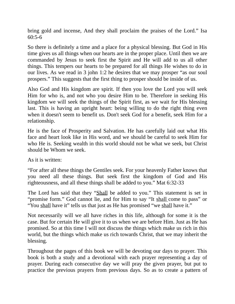bring gold and incense, And they shall proclaim the praises of the Lord." Isa 60:5-6

So there is definitely a time and a place for a physical blessing. But God in His time gives us all things when our hearts are in the proper place. Until then we are commanded by Jesus to seek first the Spirit and He will add to us all other things. This tempers our hearts to be prepared for all things He wishes to do in our lives. As we read in 3 john 1:2 he desires that we may prosper "as our soul prospers." This suggests that the first thing to prosper should be inside of us.

Also God and His kingdom are spirit. If then you love the Lord you will seek Him for who is, and not who you desire Him to be. Therefore in seeking His kingdom we will seek the things of the Spirit first, as we wait for His blessing last. This is having an upright heart: being willing to do the right thing even when it doesn't seem to benefit us. Don't seek God for a benefit, seek Him for a relationship.

He is the face of Prosperity and Salvation. He has carefully laid out what His face and heart look like in His word, and we should be careful to seek Him for who He is. Seeking wealth in this world should not be what we seek, but Christ should be Whom we seek.

As it is written:

"For after all these things the Gentiles seek. For your heavenly Father knows that you need all these things. But seek first the kingdom of God and His righteousness, and all these things shall be added to you." Mat 6:32-33

The Lord has said that they "Shall be added to you." This statement is set in "promise form." God cannot lie, and for Him to say "It shall come to pass" or "You shall have it" tells us that just as He has promised "we shall have it."

Not necessarily will we all have riches in this life, although for some it is the case. But for certain He will give it to us when we are before Him. Just as He has promised. So at this time I will not discuss the things which make us rich in this world, but the things which make us rich towards Christ, that we may inherit the blessing.

Throughout the pages of this book we will be devoting our days to prayer. This book is both a study and a devotional with each prayer representing a day of prayer. During each consecutive day we will pray the given prayer, but put to practice the previous prayers from previous days. So as to create a pattern of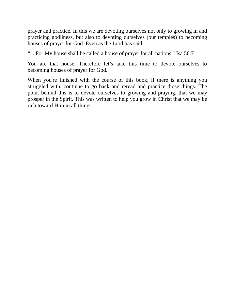prayer and practice. In this we are devoting ourselves not only to growing in and practicing godliness, but also to devoting ourselves (our temples) to becoming houses of prayer for God. Even as the Lord has said,

"....For My house shall be called a house of prayer for all nations." Isa 56:7

You are that house. Therefore let's take this time to devote ourselves to becoming houses of prayer for God.

When you're finished with the course of this book, if there is anything you struggled with, continue to go back and reread and practice those things. The point behind this is to devote ourselves to growing and praying, that we may prosper in the Spirit. This was written to help you grow in Christ that we may be rich toward Him in all things.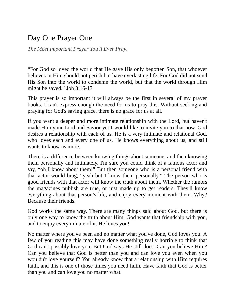### <span id="page-9-0"></span>Day One Prayer One

*The Most Important Prayer You'll Ever Pray*.

"For God so loved the world that He gave His only begotten Son, that whoever believes in Him should not perish but have everlasting life. For God did not send His Son into the world to condemn the world, but that the world through Him might be saved." Joh 3:16-17

This prayer is so important it will always be the first in several of my prayer books. I can't express enough the need for us to pray this. Without seeking and praying for God's saving grace, there is no grace for us at all.

If you want a deeper and more intimate relationship with the Lord, but haven't made Him your Lord and Savior yet I would like to invite you to that now. God desires a relationship with each of us. He is a very intimate and relational God, who loves each and every one of us. He knows everything about us, and still wants to know us more.

There is a difference between knowing things about someone, and then knowing them personally and intimately. I'm sure you could think of a famous actor and say, "oh I know about them!" But then someone who is a personal friend with that actor would brag, "yeah but I know them personally." The person who is good friends with that actor will know the truth about them. Whether the rumors the magazines publish are true, or just made up to get readers. They'll know everything about that person's life, and enjoy every moment with them. Why? Because their friends.

God works the same way. There are many things said about God, but there is only one way to know the truth about Him. God wants that friendship with you, and to enjoy every minute of it. He loves you!

No matter where you've been and no matter what you've done, God loves you. A few of you reading this may have done something really horrible to think that God can't possibly love you. But God says He still does. Can you believe Him? Can you believe that God is better than you and can love you even when you wouldn't love yourself? You already know that a relationship with Him requires faith, and this is one of those times you need faith. Have faith that God is better than you and can love you no matter what.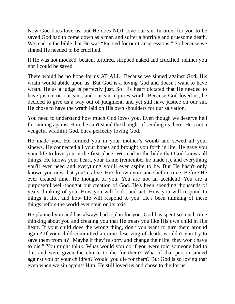Now God does love us, but He does NOT love our sin. In order for you to be saved God had to come down as a man and suffer a horrible and gruesome death. We read in the bible that He was "Pierced for our transgressions." So because we sinned He needed to be crucified.

If He was not mocked, beaten, tortured, stripped naked and crucified, neither you nor I could be saved.

There would be no hope for us AT ALL! Because we sinned against God, His wrath would abide upon us. But God is a loving God and doesn't want to have wrath. He as a judge is perfectly just. So His heart dictated that He needed to have justice on our sins, and our sin requires wrath. Because God loved us, he decided to give us a way out of judgment, and yet still have justice on our sin. He chose to have the wrath laid on His own shoulders for our salvation.

You need to understand how much God loves you. Even though we deserve hell for sinning against Him, he can't stand the thought of sending us there. He's not a vengeful wrathful God, but a perfectly loving God.

He made you. He formed you in your mother's womb and sewed all your sinews. He connected all your bones and brought you forth in life. He gave you your life to love you in the first place. We read in the bible that God knows all things. He knows your heart, your frame (remember he made it), and everything you'll ever need and everything you'll ever aspire to be. But He hasn't only known you now that you're alive. He's known you since before time. Before He ever created time, He thought of you. You are not an accident! You are a purposeful well-thought out creation of God. He's been spending thousands of years thinking of you. How you will look, and act. How you will respond to things in life, and how life will respond to you. He's been thinking of these things before the world ever spun on its axis.

He planned you and has always had a plan for you. God has spent so much time thinking about you and creating you that He treats you like His own child in His heart. If your child does the wrong thing, don't you want to turn them around again? If your child committed a crime deserving of death, wouldn't you try to save them from it? "Maybe if they're sorry and change their life, they won't have to die," You might think. What would you do if you were told someone had to die, and were given the choice to die for them? What if that person sinned against you or your children? Would you die for them? But God is so loving that even when we sin against Him, He still loved us and chose to die for us.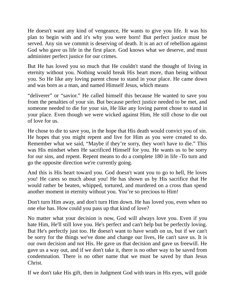He doesn't want any kind of vengeance, He wants to give you life. It was his plan to begin with and it's why you were born! But perfect justice must be served. Any sin we commit is deserving of death. It is an act of rebellion against God who gave us life in the first place. God knows what we deserve, and must administer perfect justice for our crimes.

But He has loved you so much that He couldn't stand the thought of living in eternity without you. Nothing would break His heart more, than being without you. So He like any loving parent chose to stand in your place. He came down and was born as a man, and named Himself Jesus, which means

"deliverer" or "savior." He called himself this because He wanted to save you from the penalties of your sin. But because perfect justice needed to be met, and someone needed to die for your sin, He like any loving parent chose to stand in your place. Even though we were wicked against Him, He still chose to die out of love for us.

He chose to die to save you, in the hope that His death would convict you of sin. He hopes that you might repent and live for Him as you were created to do. Remember what we said, "Maybe if they're sorry, they won't have to die." This was His mindset when He sacrificed Himself for you. He wants us to be sorry for our sins, and repent. Repent means to do a complete 180 in life -To turn and go the opposite direction we're currently going.

And this is His heart toward you. God doesn't want you to go to hell, He loves you! He cares so much about you! He has shown us by His sacrifice that He would rather be beaten, whipped, tortured, and murdered on a cross than spend another moment in eternity without you. You're so precious to Him!

Don't turn Him away, and don't turn Him down. He has loved you, even when no one else has. How could you pass up that kind of love?

No matter what your decision is now, God will always love you. Even if you hate Him, He'll still love you. He's perfect and can't help but be perfectly loving. But He's perfectly just too. He doesn't want to have wrath on us, but if we can't be sorry for the things we've done and change our lives, He can't save us. It is our own decision and not His. He gave us that decision and gave us freewill. He gave us a way out, and if we don't take it, there is no other way to be saved from condemnation. There is no other name that we must be saved by than Jesus Christ.

If we don't take His gift, then in Judgment God with tears in His eyes, will guide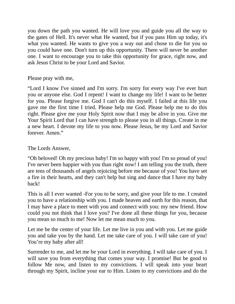you down the path you wanted. He will love you and guide you all the way to the gates of Hell. It's never what He wanted, but if you pass Him up today, it's what you wanted. He wants to give you a way out and chose to die for you so you could have one. Don't turn up this opportunity. There will never be another one. I want to encourage you to take this opportunity for grace, right now, and ask Jesus Christ to be your Lord and Savior.

#### Please pray with me,

"Lord I know I've sinned and I'm sorry. I'm sorry for every way I've ever hurt you or anyone else. God I repent! I want to change my life! I want to be better for you. Please forgive me. God I can't do this myself. I failed at this life you gave me the first time I tried. Please help me God. Please help me to do this right. Please give me your Holy Spirit now that I may be alive in you. Give me Your Spirit Lord that I can have strength to please you in all things. Create in me a new heart. I devote my life to you now. Please Jesus, be my Lord and Savior forever. Amen."

#### The Lords Answer,

"Oh beloved! Oh my precious baby! I'm so happy with you! I'm so proud of you! I've never been happier with you than right now! I am telling you the truth, there are tens of thousands of angels rejoicing before me because of you! You have set a fire in their hearts, and they can't help but sing and dance that I have my baby back!

This is all I ever wanted -For you to be sorry, and give your life to me. I created you to have a relationship with you. I made heaven and earth for this reason, that I may have a place to meet with you and connect with you: my new friend. How could you not think that I love you? I've done all these things for you, because you mean so much to me! Now let me mean much to you.

Let me be the center of your life. Let me live in you and with you. Let me guide you and take you by the hand. Let me take care of you. I will take care of you! You're my baby after all!

Surrender to me, and let me be your Lord in everything. I will take care of you. I will save you from everything that comes your way. I promise! But be good to follow Me now, and listen to my convictions. I will speak into your heart through my Spirit, incline your ear to Him. Listen to my convictions and do the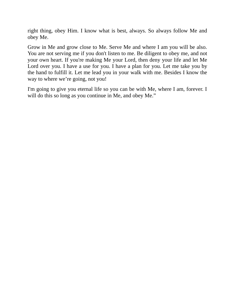right thing, obey Him. I know what is best, always. So always follow Me and obey Me.

Grow in Me and grow close to Me. Serve Me and where I am you will be also. You are not serving me if you don't listen to me. Be diligent to obey me, and not your own heart. If you're making Me your Lord, then deny your life and let Me Lord over you. I have a use for you. I have a plan for you. Let me take you by the hand to fulfill it. Let me lead you in your walk with me. Besides I know the way to where we're going, not you!

I'm going to give you eternal life so you can be with Me, where I am, forever. I will do this so long as you continue in Me, and obey Me."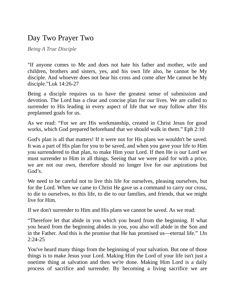#### <span id="page-14-0"></span>Day Two Prayer Two

*Being A True Disciple*

"If anyone comes to Me and does not hate his father and mother, wife and children, brothers and sisters, yes, and his own life also, he cannot be My disciple. And whoever does not bear his cross and come after Me cannot be My disciple."Luk 14:26-27

Being a disciple requires us to have the greatest sense of submission and devotion. The Lord has a clear and concise plan for our lives. We are called to surrender to His leading in every aspect of life that we may follow after His preplanned goals for us.

As we read: "For we are His workmanship, created in Christ Jesus for good works, which God prepared beforehand that we should walk in them." Eph 2:10

God's plan is all that matters! If it were not for His plans we wouldn't be saved. It was a part of His plan for you to be saved, and when you gave your life to Him you surrendered to that plan, to make Him your Lord. If then He is our Lord we must surrender to Him in all things. Seeing that we were paid for with a price, we are not our own, therefore should no longer live for our aspirations but God's.

We need to be careful not to live this life for ourselves, pleasing ourselves, but for the Lord. When we came to Christ He gave us a command to carry our cross, to die to ourselves, to this life, to die to our families, and friends, that we might live for Him.

If we don't surrender to Him and His plans we cannot be saved. As we read:

"Therefore let that abide in you which you heard from the beginning. If what you heard from the beginning abides in you, you also will abide in the Son and in the Father. And this is the promise that He has promised us—eternal life." 1Jn 2:24-25

You've heard many things from the beginning of your salvation. But one of those things is to make Jesus your Lord. Making Him the Lord of your life isn't just a onetime thing at salvation and then we're done. Making Him Lord is a daily process of sacrifice and surrender. By becoming a living sacrifice we are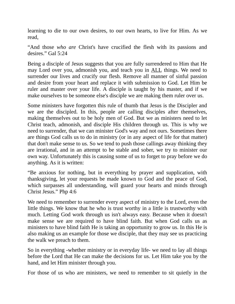learning to die to our own desires, to our own hearts, to live for Him. As we read,

"And those *who are* Christ's have crucified the flesh with its passions and desires." Gal 5:24

Being a disciple of Jesus suggests that you are fully surrendered to Him that He may Lord over you, admonish you, and teach you in ALL things. We need to surrender our lives and crucify our flesh. Remove all manner of sinful passion and desire from your heart and replace it with submission to God. Let Him be ruler and master over your life. A disciple is taught by his master, and if we make ourselves to be someone else's disciple we are making them ruler over us.

Some ministers have forgotten this rule of thumb that Jesus is the Discipler and we are the discipled. In this, people are calling disciples after themselves, making themselves out to be holy men of God. But we as ministers need to let Christ teach, admonish, and disciple His children through us. This is why we need to surrender, that we can minister God's way and not ours. Sometimes there are things God calls us to do in ministry (or in any aspect of life for that matter) that don't make sense to us. So we tend to push those callings away thinking they are irrational, and in an attempt to be stable and sober, we try to minister our own way. Unfortunately this is causing some of us to forget to pray before we do anything. As it is written:

"Be anxious for nothing, but in everything by prayer and supplication, with thanksgiving, let your requests be made known to God and the peace of God, which surpasses all understanding, will guard your hearts and minds through Christ Jesus." Php 4:6

We need to remember to surrender every aspect of ministry to the Lord, even the little things. We know that he who is trust worthy in a little is trustworthy with much. Letting God work through us isn't always easy. Because when it doesn't make sense we are required to have blind faith. But when God calls us as ministers to have blind faith He is taking an opportunity to grow us. In this He is also making us an example for those we disciple, that they may see us practicing the walk we preach to them.

So in everything -whether ministry or in everyday life- we need to lay all things before the Lord that He can make the decisions for us. Let Him take you by the hand, and let Him minister through you.

For those of us who are ministers, we need to remember to sit quietly in the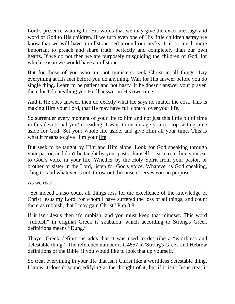Lord's presence waiting for His words that we may give the exact message and word of God to His children. If we turn even one of His little children astray we know that we will have a millstone tied around our necks. It is so much more important to preach and share truth, perfectly and completely than our own hearts. If we do not then we are purposely misguiding the children of God, for which reason we would have a millstone.

But for those of you who are not ministers, seek Christ in all things. Lay everything at His feet before you do anything. Wait for His answer before you do single thing. Learn to be patient and not hasty. If he doesn't answer your prayer, then don't do anything yet. He'll answer in His own time.

And if He does answer, then do exactly what He says no matter the cost. This is making Him your Lord, that He may have full control over your life.

So surrender every moment of your life to him and not just this little bit of time in this devotional you're reading. I want to encourage you to stop setting time aside for God! Set your whole life aside, and give Him all your time. This is what it means to give Him your life.

But seek to be taught by Him and Him alone. Look for God speaking through your pastor, and don't be taught by your pastor himself. Learn to incline your ear to God's voice in your life. Whether by the Holy Spirit from your pastor, or brother or sister in the Lord, listen for God's voice. Whatever is God speaking, cling to, and whatever is not, throw out, because it serves you no purpose.

As we read:

"Yet indeed I also count all things loss for the excellence of the knowledge of Christ Jesus my Lord, for whom I have suffered the loss of all things, and count them as rubbish, that I may gain Christ" Php 3:8

If it isn't Jesus then it's rubbish, and you must keep that mindset. This word "rubbish" in original Greek is skubalon, which according to Strong's Greek definitions means "Dung."

Thayer Greek definitions adds that it was used to describe a "worthless and detestable thing." The reference number is G4657 in 'Strong's Greek and Hebrew definitions of the Bible' if you would like to look that up yourself.

So treat everything in your life that isn't Christ like a worthless detestable thing. I know it doesn't sound edifying at the thought of it, but if it isn't Jesus treat it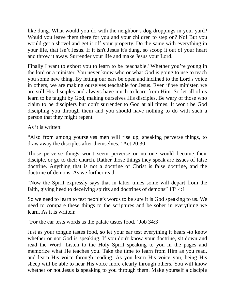like dung. What would you do with the neighbor's dog droppings in your yard? Would you leave them there for you and your children to step on? No! But you would get a shovel and get it off your property. Do the same with everything in your life, that isn't Jesus. If it isn't Jesus it's dung, so scoop it out of your heart and throw it away. Surrender your life and make Jesus your Lord.

Finally I want to exhort you to learn to be 'teachable.' Whether you're young in the lord or a minister. You never know who or what God is going to use to teach you some new thing. By letting our ears be open and inclined to the Lord's voice in others, we are making ourselves teachable for Jesus. Even if we minister, we are still His disciples and always have much to learn from Him. So let all of us learn to be taught by God, making ourselves His disciples. Be wary of those who claim to be disciplers but don't surrender to God at all times. It won't be God discipling you through them and you should have nothing to do with such a person that they might repent.

As it is written:

"Also from among yourselves men will rise up, speaking perverse things, to draw away the disciples after themselves." Act 20:30

Those perverse things won't seem perverse or no one would become their disciple, or go to their church. Rather those things they speak are issues of false doctrine. Anything that is not a doctrine of Christ is false doctrine, and the doctrine of demons. As we further read:

"Now the Spirit expressly says that in latter times some will depart from the faith, giving heed to deceiving spirits and doctrines of demons" 1Ti 4:1

So we need to learn to test people's words to be sure it is God speaking to us. We need to compare these things to the scriptures and be sober in everything we learn. As it is written:

"For the ear tests words as the palate tastes food." Job 34:3

Just as your tongue tastes food, so let your ear test everything it hears -to know whether or not God is speaking. If you don't know your doctrine, sit down and read the Word. Listen to the Holy Spirit speaking to you in the pages and memorize what He teaches you. Take the time to learn from Him as you read, and learn His voice through reading. As you learn His voice you, being His sheep will be able to hear His voice more clearly through others. You will know whether or not Jesus is speaking to you through them. Make yourself a disciple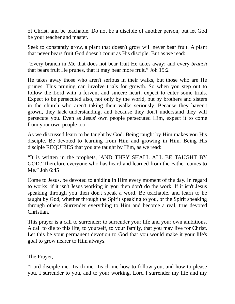of Christ, and be teachable. Do not be a disciple of another person, but let God be your teacher and master.

Seek to constantly grow, a plant that doesn't grow will never bear fruit. A plant that never bears fruit God doesn't count as His disciple. But as we read:

"Every branch in Me that does not bear fruit He takes away; and every *branch* that bears fruit He prunes, that it may bear more fruit." Joh 15:2

He takes away those who aren't serious in their walks, but those who are He prunes. This pruning can involve trials for growth. So when you step out to follow the Lord with a fervent and sincere heart, expect to enter some trials. Expect to be persecuted also, not only by the world, but by brothers and sisters in the church who aren't taking their walks seriously. Because they haven't grown, they lack understanding, and because they don't understand they will persecute you. Even as Jesus' own people persecuted Him, expect it to come from your own people too.

As we discussed learn to be taught by God. Being taught by Him makes you His disciple. Be devoted to learning from Him and growing in Him. Being His disciple REQUIRES that you are taught by Him, as we read:

"It is written in the prophets, 'AND THEY SHALL ALL BE TAUGHT BY GOD.' Therefore everyone who has heard and learned from the Father comes to Me." Joh 6:45

Come to Jesus, be devoted to abiding in Him every moment of the day. In regard to works: if it isn't Jesus working in you then don't do the work. If it isn't Jesus speaking through you then don't speak a word. Be teachable, and learn to be taught by God, whether through the Spirit speaking to you, or the Spirit speaking through others. Surrender everything to Him and become a real, true devoted Christian.

This prayer is a call to surrender; to surrender your life and your own ambitions. A call to die to this life, to yourself, to your family, that you may live for Christ. Let this be your permanent devotion to God that you would make it your life's goal to grow nearer to Him always.

The Prayer,

"Lord disciple me. Teach me. Teach me how to follow you, and how to please you. I surrender to you, and to your working. Lord I surrender my life and my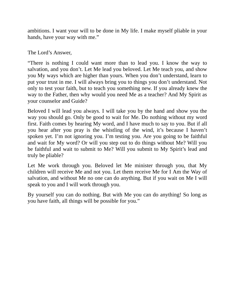ambitions. I want your will to be done in My life. I make myself pliable in your hands, have your way with me."

The Lord's Answer,

"There is nothing I could want more than to lead you. I know the way to salvation, and you don't. Let Me lead you beloved. Let Me teach you, and show you My ways which are higher than yours. When you don't understand, learn to put your trust in me. I will always bring you to things you don't understand. Not only to test your faith, but to teach you something new. If you already knew the way to the Father, then why would you need Me as a teacher? And My Spirit as your counselor and Guide?

Beloved I will lead you always. I will take you by the hand and show you the way you should go. Only be good to wait for Me. Do nothing without my word first. Faith comes by hearing My word, and I have much to say to you. But if all you hear after you pray is the whistling of the wind, it's because I haven't spoken yet. I'm not ignoring you. I'm testing you. Are you going to be faithful and wait for My word? Or will you step out to do things without Me? Will you be faithful and wait to submit to Me? Will you submit to My Spirit's lead and truly be pliable?

Let Me work through you. Beloved let Me minister through you, that My children will receive Me and not you. Let them receive Me for I Am the Way of salvation, and without Me no one can do anything. But if you wait on Me I will speak to you and I will work through you.

By yourself you can do nothing. But with Me you can do anything! So long as you have faith, all things will be possible for you."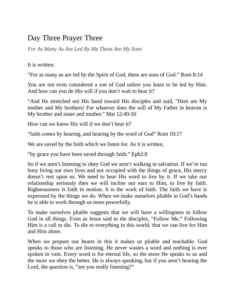#### <span id="page-20-0"></span>Day Three Prayer Three

*For As Many As Are Led By Me These Are My Sons*

It is written:

"For as many as are led by the Spirit of God, these are sons of God." Rom 8:14

You are not even considered a son of God unless you learn to be led by Him. And how can you do His will if you don't wait to hear it?

"And He stretched out His hand toward His disciples and said, "Here are My mother and My brothers! For whoever does the will of My Father in heaven is My brother and sister and mother." Mat 12:49-50

How can we know His will if we don't hear it?

"faith *comes* by hearing, and hearing by the word of God" Rom 10:17

We are saved by the faith which we listen for. As it is written,

"by grace you have been saved through faith." Eph2:8

So if we aren't listening to obey God we aren't walking in salvation. If we're too busy living our own lives and not occupied with the things of grace, His mercy doesn't rest upon us. We need to hear His word to live by it. If we take our relationship seriously then we will incline our ears to Him, to live by faith. Righteousness is faith in motion. It is the work of faith. The faith we have is expressed by the things we do. When we make ourselves pliable in God's hands he is able to work through us more powerfully.

To make ourselves pliable suggests that we will have a willingness to follow God in all things. Even as Jesus said to the disciples, "Follow Me." Following Him is a call to die. To die to everything in this world, that we can live for Him and Him alone.

When we prepare our hearts in this it makes us pliable and teachable. God speaks to those who are listening. He never wastes a word and nothing is ever spoken in vain. Every word is for eternal life, so the more He speaks to us and the more we obey the better. He is always speaking, but if you aren't hearing the Lord, the question is, "are you really listening?"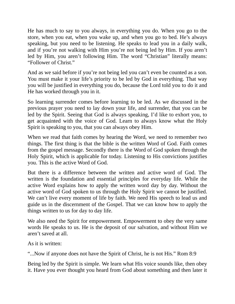He has much to say to you always, in everything you do. When you go to the store, when you eat, when you wake up, and when you go to bed. He's always speaking, but you need to be listening. He speaks to lead you in a daily walk, and if you're not walking with Him you're not being led by Him. If you aren't led by Him, you aren't following Him. The word "Christian" literally means: "Follower of Christ."

And as we said before if you're not being led you can't even be counted as a son. You must make it your life's priority to be led by God in everything. That way you will be justified in everything you do, because the Lord told you to do it and He has worked through you in it.

So learning surrender comes before learning to be led. As we discussed in the previous prayer you need to lay down your life, and surrender, that you can be led by the Spirit. Seeing that God is always speaking, I'd like to exhort you, to get acquainted with the voice of God. Learn to always know what the Holy Spirit is speaking to you, that you can always obey Him.

When we read that faith comes by hearing the Word, we need to remember two things. The first thing is that the bible is the written Word of God. Faith comes from the gospel message. Secondly there is the Word of God spoken through the Holy Spirit, which is applicable for today. Listening to His convictions justifies you. This is the active Word of God.

But there is a difference between the written and active word of God. The written is the foundation and essential principles for everyday life. While the active Word explains how to apply the written word day by day. Without the active word of God spoken to us through the Holy Spirit we cannot be justified. We can't live every moment of life by faith. We need His speech to lead us and guide us in the discernment of the Gospel. That we can know how to apply the things written to us for day to day life.

We also need the Spirit for empowerment. Empowerment to obey the very same words He speaks to us. He is the deposit of our salvation, and without Him we aren't saved at all.

As it is written:

"...Now if anyone does not have the Spirit of Christ, he is not His." Rom 8:9

Being led by the Spirit is simple. We learn what His voice sounds like, then obey it. Have you ever thought you heard from God about something and then later it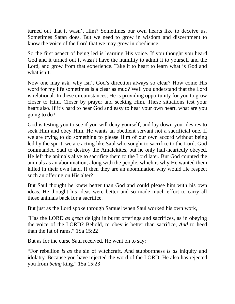turned out that it wasn't Him? Sometimes our own hearts like to deceive us. Sometimes Satan does. But we need to grow in wisdom and discernment to know the voice of the Lord that we may grow in obedience.

So the first aspect of being led is learning His voice. If you thought you heard God and it turned out it wasn't have the humility to admit it to yourself and the Lord, and grow from that experience. Take it to heart to learn what is God and what isn't.

Now one may ask, why isn't God's direction always so clear? How come His word for my life sometimes is a clear as mud? Well you understand that the Lord is relational. In these circumstances, He is providing opportunity for you to grow closer to Him. Closer by prayer and seeking Him. These situations test your heart also. If it's hard to hear God and easy to hear your own heart, what are you going to do?

God is testing you to see if you will deny yourself, and lay down your desires to seek Him and obey Him. He wants an obedient servant not a sacrificial one. If we are trying to do something to please Him of our own accord without being led by the spirit, we are acting like Saul who sought to sacrifice to the Lord. God commanded Saul to destroy the Amalekites, but he only half-heartedly obeyed. He left the animals alive to sacrifice them to the Lord later. But God counted the animals as an abomination, along with the people, which is why He wanted them killed in their own land. If then they are an abomination why would He respect such an offering on His alter?

But Saul thought he knew better than God and could please him with his own ideas. He thought his ideas were better and so made much effort to carry all those animals back for a sacrifice.

But just as the Lord spoke through Samuel when Saul worked his own work,

"Has the LORD *as great* delight in burnt offerings and sacrifices, as in obeying the voice of the LORD? Behold, to obey is better than sacrifice, *And* to heed than the fat of rams." 1Sa 15:22

But as for the curse Saul received, He went on to say:

"For rebellion *is as* the sin of witchcraft, And stubbornness *is as* iniquity and idolatry. Because you have rejected the word of the LORD, He also has rejected you from *being* king." 1Sa 15:23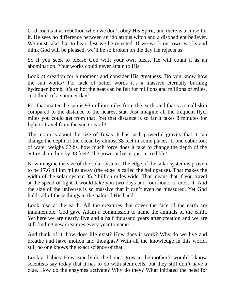God counts it as rebellion when we don't obey His Spirit, and there is a curse for it. He sees no difference between an idolatrous witch and a disobedient believer. We must take that to heart lest we be rejected. If we work our own works and think God will be pleased, we'll be so broken on the day He rejects us.

So if you seek to please God with your own ideas, He will count it as an abomination. Your works could never attain to His.

Look at creation for a moment and consider His greatness. Do you know how the sun works? For lack of better words it's a massive eternally burning hydrogen bomb. It's so hot the heat can be felt for millions and millions of miles. Just think of a summer day!

For that matter the sun is 93 million miles from the earth, and that's a small skip compared to the distance to the nearest star. Just imagine all the frequent flyer miles you could get from that! Yet that distance is so far it takes 8 minutes for light to travel from the sun to earth!

The moon is about the size of Texas. It has such powerful gravity that it can change the depth of the ocean by almost 38 feet in some places. If one cubic foot of water weighs 62lbs, how much force does it take to change the depth of the entire shore line by 38 feet? The power it has is just incredible!

Now imagine the size of the solar system. The edge of the solar system is proven to be 17.6 billion miles away (the edge is called the heliopause). That makes the width of the solar system 35.2 billion miles wide. That means that if you travel at the speed of light it would take you two days and four hours to cross it. And the size of the universe is so massive that it can't even be measured. Yet God holds all of these things in the palm of His hand.

Look also at the earth. All the creatures that cover the face of the earth are innumerable. God gave Adam a commission to name the animals of the earth. Yet here we are nearly five and a half thousand years after creation and we are still finding new creatures every year to name.

And think of it, how does life exist? How does it work? Why do we live and breathe and have motion and thoughts? With all the knowledge in this world, still no one knows the exact science of that.

Look at babies. How exactly do the bones grow in the mother's womb? I know scientists say today that it has to do with stem cells, but they still don't have a clue. How do the enzymes activate? Why do they? What initiated the need for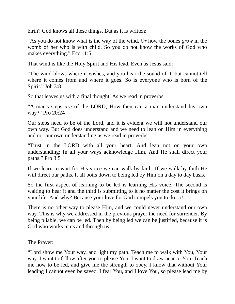birth? God knows all these things. But as it is written:

"As you do not know what *is* the way of the wind, *Or* how the bones *grow* in the womb of her who is with child, So you do not know the works of God who makes everything." Ecc 11:5

That wind is like the Holy Spirit and His lead. Even as Jesus said:

"The wind blows where it wishes, and you hear the sound of it, but cannot tell where it comes from and where it goes. So is everyone who is born of the Spirit." Joh 3:8

So that leaves us with a final thought. As we read in proverbs,

"A man's steps *are* of the LORD; How then can a man understand his own way?" Pro 20:24

Our steps need to be of the Lord, and it is evident we will not understand our own way. But God does understand and we need to lean on Him in everything and not our own understanding as we read in proverbs:

"Trust in the LORD with all your heart, And lean not on your own understanding; In all your ways acknowledge Him, And He shall direct your paths." Pro 3:5

If we learn to wait for His voice we can walk by faith. If we walk by faith He will direct our paths. It all boils down to being led by Him on a day to day basis.

So the first aspect of learning to be led is learning His voice. The second is waiting to hear it and the third is submitting to it no matter the cost it brings on your life. And why? Because your love for God compels you to do so!

There is no other way to please Him, and we could never understand our own way. This is why we addressed in the previous prayer the need for surrender. By being pliable, we can be led. Then by being led we can be justified, because it is God who works in us and through us.

The Prayer:

"Lord show me Your way, and light my path. Teach me to walk with You, Your way. I want to follow after you to please You. I want to draw near to You. Teach me how to be led, and give me the strength to obey. I know that without Your leading I cannot even be saved. I fear You, and I love You, so please lead me by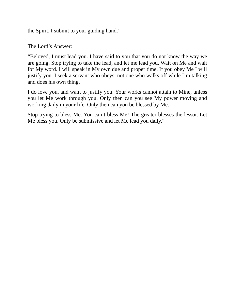the Spirit, I submit to your guiding hand."

The Lord's Answer:

"Beloved, I must lead you. I have said to you that you do not know the way we are going. Stop trying to take the lead, and let me lead you. Wait on Me and wait for My word. I will speak in My own due and proper time. If you obey Me I will justify you. I seek a servant who obeys, not one who walks off while I'm talking and does his own thing.

I do love you, and want to justify you. Your works cannot attain to Mine, unless you let Me work through you. Only then can you see My power moving and working daily in your life. Only then can you be blessed by Me.

Stop trying to bless Me. You can't bless Me! The greater blesses the lessor. Let Me bless you. Only be submissive and let Me lead you daily."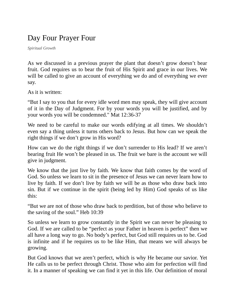### <span id="page-26-0"></span>Day Four Prayer Four

*Spiritual Growth*

As we discussed in a previous prayer the plant that doesn't grow doesn't bear fruit. God requires us to bear the fruit of His Spirit and grace in our lives. We will be called to give an account of everything we do and of everything we ever say.

As it is written:

"But I say to you that for every idle word men may speak, they will give account of it in the Day of Judgment. For by your words you will be justified, and by your words you will be condemned." Mat 12:36-37

We need to be careful to make our words edifying at all times. We shouldn't even say a thing unless it turns others back to Jesus. But how can we speak the right things if we don't grow in His word?

How can we do the right things if we don't surrender to His lead? If we aren't bearing fruit He won't be pleased in us. The fruit we bare is the account we will give in judgment.

We know that the just live by faith. We know that faith comes by the word of God. So unless we learn to sit in the presence of Jesus we can never learn how to live by faith. If we don't live by faith we will be as those who draw back into sin. But if we continue in the spirit (being led by Him) God speaks of us like this:

"But we are not of those who draw back to perdition, but of those who believe to the saving of the soul." Heb 10:39

So unless we learn to grow constantly in the Spirit we can never be pleasing to God. If we are called to be "perfect as your Father in heaven is perfect" then we all have a long way to go. No body's perfect, but God still requires us to be. God is infinite and if he requires us to be like Him, that means we will always be growing.

But God knows that we aren't perfect, which is why He became our savior. Yet He calls us to be perfect through Christ. Those who aim for perfection will find it. In a manner of speaking we can find it yet in this life. Our definition of moral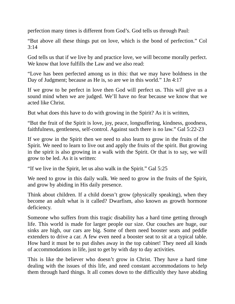perfection many times is different from God's. God tells us through Paul:

"But above all these things put on love, which is the bond of perfection." Col 3:14

God tells us that if we live by and practice love, we will become morally perfect. We know that love fulfills the Law and we also read:

"Love has been perfected among us in this: that we may have boldness in the Day of Judgment; because as He is, so are we in this world." 1Jn 4:17

If we grow to be perfect in love then God will perfect us. This will give us a sound mind when we are judged. We'll have no fear because we know that we acted like Christ.

But what does this have to do with growing in the Spirit? As it is written,

"But the fruit of the Spirit is love, joy, peace, longsuffering, kindness, goodness, faithfulness, gentleness, self-control. Against such there is no law." Gal 5:22-23

If we grow in the Spirit then we need to also learn to grow in the fruits of the Spirit. We need to learn to live out and apply the fruits of the spirit. But growing in the spirit is also growing in a walk with the Spirit. Or that is to say, we will grow to be led. As it is written:

"If we live in the Spirit, let us also walk in the Spirit." Gal 5:25

We need to grow in this daily walk. We need to grow in the fruits of the Spirit, and grow by abiding in His daily presence.

Think about children. If a child doesn't grow (physically speaking), when they become an adult what is it called? Dwarfism, also known as growth hormone deficiency.

Someone who suffers from this tragic disability has a hard time getting through life. This world is made for larger people our size. Our couches are huge, our sinks are high, our cars are big. Some of them need booster seats and peddle extenders to drive a car. A few even need a booster seat to sit at a typical table. How hard it must be to put dishes away in the top cabinet! They need all kinds of accommodations in life, just to get by with day to day activities.

This is like the believer who doesn't grow in Christ. They have a hard time dealing with the issues of this life, and need constant accommodations to help them through hard things. It all comes down to the difficultly they have abiding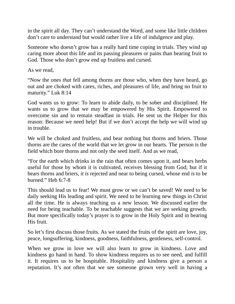in the spirit all day. They can't understand the Word, and some like little children don't care to understand but would rather live a life of indulgence and play.

Someone who doesn't grow has a really hard time coping in trials. They wind up caring more about this life and its passing pleasures or pains than bearing fruit to God. Those who don't grow end up fruitless and cursed.

As we read,

"Now the ones *that* fell among thorns are those who, when they have heard, go out and are choked with cares, riches, and pleasures of life, and bring no fruit to maturity." Luk 8:14

God wants us to grow: To learn to abide daily, to be sober and disciplined. He wants us to grow that we may be empowered by His Spirit. Empowered to overcome sin and to remain steadfast in trials. He sent us the Helper for this reason: Because we need help! But if we don't accept the help we will wind up in trouble.

We will be choked and fruitless, and bear nothing but thorns and briers. Those thorns are the cares of the world that we let grow in our hearts. The person is the field which bore thorns and not only the seed itself. And as we read,

"For the earth which drinks in the rain that often comes upon it, and bears herbs useful for those by whom it is cultivated, receives blessing from God; but if it bears thorns and briers, *it is* rejected and near to being cursed, whose end *is* to be burned." Heb 6:7-8

This should lead us to fear! We must grow or we can't be saved! We need to be daily seeking His leading and spirit. We need to be learning new things in Christ all the time. He is always teaching us a new lesson. We discussed earlier the need for being teachable. To be teachable suggests that we are seeking growth. But more specifically today's prayer is to grow in the Holy Spirit and in bearing His fruit.

So let's first discuss those fruits. As we stated the fruits of the spirit are love, joy, peace, longsuffering, kindness, goodness, faithfulness, gentleness, self-control.

When we grow in love we will also learn to grow in kindness. Love and kindness go hand in hand. To show kindness requires us to see need, and fulfill it. It requires us to be hospitable. Hospitality and kindness give a person a reputation. It's not often that we see someone grown very well in having a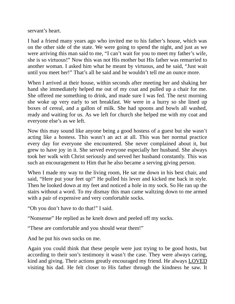servant's heart.

I had a friend many years ago who invited me to his father's house, which was on the other side of the state. We were going to spend the night, and just as we were arriving this man said to me, "I can't wait for you to meet my father's wife, she is so virtuous!" Now this was not His mother but His father was remarried to another woman. I asked him what he meant by virtuous, and he said, "Just wait until you meet her!" That's all he said and he wouldn't tell me an ounce more.

When I arrived at their house, within seconds after meeting her and shaking her hand she immediately helped me out of my coat and pulled up a chair for me. She offered me something to drink, and made sure I was fed. The next morning she woke up very early to set breakfast. We were in a hurry so she lined up boxes of cereal, and a gallon of milk. She had spoons and bowls all washed, ready and waiting for us. As we left for church she helped me with my coat and everyone else's as we left.

Now this may sound like anyone being a good hostess of a guest but she wasn't acting like a hostess. This wasn't an act at all. This was her normal practice every day for everyone she encountered. She never complained about it, but grew to have joy in it. She served everyone especially her husband. She always took her walk with Christ seriously and served her husband constantly. This was such an encouragement to Him that he also became a serving giving person.

When I made my way to the living room, He sat me down in his best chair, and said, "Here put your feet up!" He pulled his lever and kicked me back in style. Then he looked down at my feet and noticed a hole in my sock. So He ran up the stairs without a word. To my dismay this man came waltzing down to me armed with a pair of expensive and very comfortable socks.

"Oh you don't have to do that!" I said.

"Nonsense" He replied as he knelt down and peeled off my socks.

"These are comfortable and you should wear them!"

And he put his own socks on me.

Again you could think that these people were just trying to be good hosts, but according to their son's testimony it wasn't the case. They were always caring, kind and giving. Their actions greatly encouraged my friend. He always LOVED visiting his dad. He felt closer to His father through the kindness he saw. It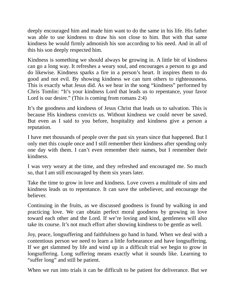deeply encouraged him and made him want to do the same in his life. His father was able to use kindness to draw his son close to him. But with that same kindness he would firmly admonish his son according to his need. And in all of this his son deeply respected him.

Kindness is something we should always be growing in. A little bit of kindness can go a long way. It refreshes a weary soul, and encourages a person to go and do likewise. Kindness sparks a fire in a person's heart. It inspires them to do good and not evil. By showing kindness we can turn others to righteousness. This is exactly what Jesus did. As we hear in the song "kindness" performed by Chris Tomlin: "It's your kindness Lord that leads us to repentance, your favor Lord is our desire." (This is coming from romans 2:4)

It's the goodness and kindness of Jesus Christ that leads us to salvation. This is because His kindness convicts us. Without kindness we could never be saved. But even as I said to you before, hospitality and kindness give a person a reputation.

I have met thousands of people over the past six years since that happened. But I only met this couple once and I still remember their kindness after spending only one day with them. I can't even remember their names, but I remember their kindness.

I was very weary at the time, and they refreshed and encouraged me. So much so, that I am still encouraged by them six years later.

Take the time to grow in love and kindness. Love covers a multitude of sins and kindness leads us to repentance. It can save the unbeliever, and encourage the believer.

Continuing in the fruits, as we discussed goodness is found by walking in and practicing love. We can obtain perfect moral goodness by growing in love toward each other and the Lord. If we're loving and kind, gentleness will also take its course. It's not much effort after showing kindness to be gentle as well.

Joy, peace, longsuffering and faithfulness go hand in hand. When we deal with a contentious person we need to learn a little forbearance and have longsuffering. If we get slammed by life and wind up in a difficult trial we begin to grow in longsuffering. Long suffering means exactly what it sounds like. Learning to "suffer long" and still be patient.

When we run into trials it can be difficult to be patient for deliverance. But we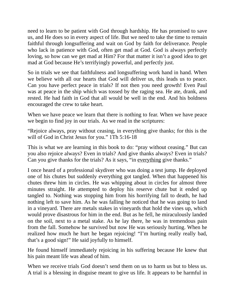need to learn to be patient with God through hardship. He has promised to save us, and He does so in every aspect of life. But we need to take the time to remain faithful through longsuffering and wait on God by faith for deliverance. People who lack in patience with God, often get mad at God. God is always perfectly loving, so how can we get mad at Him? For that matter it isn't a good idea to get mad at God because He's terrifyingly powerful, and perfectly just.

So in trials we see that faithfulness and longsuffering work hand in hand. When we believe with all our hearts that God will deliver us, this leads us to peace. Can you have perfect peace in trials? If not then you need growth! Even Paul was at peace in the ship which was tossed by the raging sea. He ate, drank, and rested. He had faith in God that all would be well in the end. And his boldness encouraged the crew to take heart.

When we have peace we learn that there is nothing to fear. When we have peace we begin to find joy in our trials. As we read in the scriptures:

"Rejoice always, pray without ceasing, in everything give thanks; for this is the will of God in Christ Jesus for you." 1Th 5:16-18

This is what we are learning in this book to do: "pray without ceasing." But can you also rejoice always? Even in trials? And give thanks always? Even in trials? Can you give thanks for the trials? As it says, "in everything give thanks."

I once heard of a professional skydiver who was doing a test jump. He deployed one of his chutes but suddenly everything got tangled. When that happened his chutes threw him in circles. He was whipping about in circles for almost three minutes straight. He attempted to deploy his reserve chute but it ended up tangled to. Nothing was stopping him from his horrifying fall to death, he had nothing left to save him. As he was falling he noticed that he was going to land in a vineyard. There are metals stakes in vineyards that hold the vines up, which would prove disastrous for him in the end. But as he fell, he miraculously landed on the soil, next to a metal stake. As he lay there, he was in tremendous pain from the fall. Somehow he survived but now He was seriously hurting. When he realized how much he hurt he began rejoicing! "I'm hurting really really bad, that's a good sign!" He said joyfully to himself.

He found himself immediately rejoicing in his suffering because He knew that his pain meant life was ahead of him.

When we receive trials God doesn't send them on us to harm us but to bless us. A trial is a blessing in disguise meant to give us life. It appears to be harmful in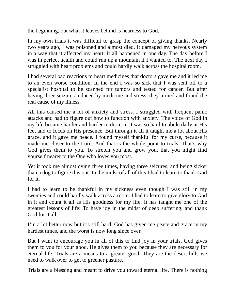the beginning, but what it leaves behind is nearness to God.

In my own trials it was difficult to grasp the concept of giving thanks. Nearly two years ago, I was poisoned and almost died. It damaged my nervous system in a way that it affected my heart. It all happened in one day. The day before I was in perfect health and could run up a mountain if I wanted to. The next day I struggled with heart problems and could hardly walk across the hospital room.

I had several bad reactions to heart medicines that doctors gave me and it led me to an even worse condition. In the end I was so sick that I was sent off to a specialist hospital to be scanned for tumors and tested for cancer. But after having three seizures induced by medicine and stress, they turned and found the real cause of my illness.

All this caused me a lot of anxiety and stress. I struggled with frequent panic attacks and had to figure out how to function with anxiety. The voice of God in my life became harder and harder to discern. It was so hard to abide daily at His feet and to focus on His presence. But through it all it taught me a lot about His grace, and it gave me peace. I found myself thankful for my curse, because it made me closer to the Lord. And that is the whole point to trials. That's why God gives them to you. To stretch you and grow you, that you might find yourself nearer to the One who loves you most.

Yet it took me almost dying three times, having three seizures, and being sicker than a dog to figure this out. In the midst of all of this I had to learn to thank God for it.

I had to learn to be thankful in my sickness even though I was still in my twenties and could hardly walk across a room. I had to learn to give glory to God in it and count it all as His goodness for my life. It has taught me one of the greatest lessons of life: To have joy in the midst of deep suffering, and thank God for it all.

I'm a lot better now but it's still hard. God has given me peace and grace in my hardest times, and the worst is now long since over.

But I want to encourage you in all of this to find joy in your trials. God gives them to you for your good. He gives them to you because they are necessary for eternal life. Trials are a means to a greater good. They are the desert hills we need to walk over to get to greener pasture.

Trials are a blessing and meant to drive you toward eternal life. There is nothing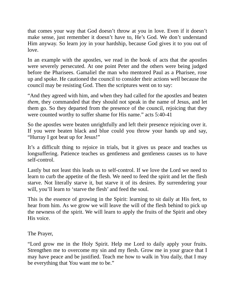that comes your way that God doesn't throw at you in love. Even if it doesn't make sense, just remember it doesn't have to, He's God. We don't understand Him anyway. So learn joy in your hardship, because God gives it to you out of love.

In an example with the apostles, we read in the book of acts that the apostles were severely persecuted. At one point Peter and the others were being judged before the Pharisees. Gamaliel the man who mentored Paul as a Pharisee, rose up and spoke. He cautioned the council to consider their actions well because the council may be resisting God. Then the scriptures went on to say:

"And they agreed with him, and when they had called for the apostles and beaten *them,* they commanded that they should not speak in the name of Jesus, and let them go. So they departed from the presence of the council, rejoicing that they were counted worthy to suffer shame for His name." acts 5:40-41

So the apostles were beaten unrightfully and left their presence rejoicing over it. If you were beaten black and blue could you throw your hands up and say, "Hurray I got beat up for Jesus!"

It's a difficult thing to rejoice in trials, but it gives us peace and teaches us longsuffering. Patience teaches us gentleness and gentleness causes us to have self-control.

Lastly but not least this leads us to self-control. If we love the Lord we need to learn to curb the appetite of the flesh. We need to feed the spirit and let the flesh starve. Not literally starve it, but starve it of its desires. By surrendering your will, you'll learn to 'starve the flesh' and feed the soul.

This is the essence of growing in the Spirit: learning to sit daily at His feet, to hear from him. As we grow we will leave the will of the flesh behind to pick up the newness of the spirit. We will learn to apply the fruits of the Spirit and obey His voice.

The Prayer,

"Lord grow me in the Holy Spirit. Help me Lord to daily apply your fruits. Strengthen me to overcome my sin and my flesh. Grow me in your grace that I may have peace and be justified. Teach me how to walk in You daily, that I may be everything that You want me to be."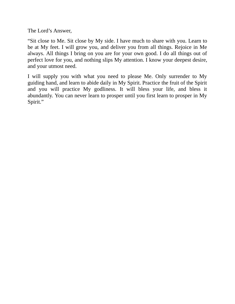The Lord's Answer,

"Sit close to Me. Sit close by My side. I have much to share with you. Learn to be at My feet. I will grow you, and deliver you from all things. Rejoice in Me always. All things I bring on you are for your own good. I do all things out of perfect love for you, and nothing slips My attention. I know your deepest desire, and your utmost need.

I will supply you with what you need to please Me. Only surrender to My guiding hand, and learn to abide daily in My Spirit. Practice the fruit of the Spirit and you will practice My godliness. It will bless your life, and bless it abundantly. You can never learn to prosper until you first learn to prosper in My Spirit."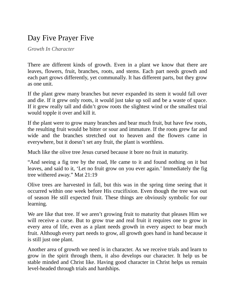### <span id="page-35-0"></span>Day Five Prayer Five

*Growth In Character*

There are different kinds of growth. Even in a plant we know that there are leaves, flowers, fruit, branches, roots, and stems. Each part needs growth and each part grows differently, yet communally. It has different parts, but they grow as one unit.

If the plant grew many branches but never expanded its stem it would fall over and die. If it grew only roots, it would just take up soil and be a waste of space. If it grew really tall and didn't grow roots the slightest wind or the smallest trial would topple it over and kill it.

If the plant were to grow many branches and bear much fruit, but have few roots, the resulting fruit would be bitter or sour and immature. If the roots grew far and wide and the branches stretched out to heaven and the flowers came in everywhere, but it doesn't set any fruit, the plant is worthless.

Much like the olive tree Jesus cursed because it bore no fruit in maturity.

"And seeing a fig tree by the road, He came to it and found nothing on it but leaves, and said to it, 'Let no fruit grow on you ever again.' Immediately the fig tree withered away." Mat 21:19

Olive trees are harvested in fall, but this was in the spring time seeing that it occurred within one week before His crucifixion. Even though the tree was out of season He still expected fruit. These things are obviously symbolic for our learning.

We are like that tree. If we aren't growing fruit to maturity that pleases Him we will receive a curse. But to grow true and real fruit it requires one to grow in every area of life, even as a plant needs growth in every aspect to bear much fruit. Although every part needs to grow, all growth goes hand in hand because it is still just one plant.

Another area of growth we need is in character. As we receive trials and learn to grow in the spirit through them, it also develops our character. It help us be stable minded and Christ like. Having good character in Christ helps us remain level-headed through trials and hardships.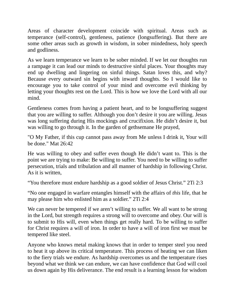Areas of character development coincide with spiritual. Areas such as temperance (self-control), gentleness, patience (longsuffering). But there are some other areas such as growth in wisdom, in sober mindedness, holy speech and godliness.

As we learn temperance we learn to be sober minded. If we let our thoughts run a rampage it can lead our minds to destructive sinful places. Your thoughts may end up dwelling and lingering on sinful things. Satan loves this, and why? Because every outward sin begins with inward thoughts. So I would like to encourage you to take control of your mind and overcome evil thinking by letting your thoughts rest on the Lord. This is how we love the Lord with all our mind.

Gentleness comes from having a patient heart, and to be longsuffering suggest that you are willing to suffer. Although you don't desire it you are willing. Jesus was long suffering during His mockings and crucifixion. He didn't desire it, but was willing to go through it. In the garden of gethsemane He prayed,

"O My Father, if this cup cannot pass away from Me unless I drink it, Your will be done." Mat 26:42

He was willing to obey and suffer even though He didn't want to. This is the point we are trying to make: Be willing to suffer. You need to be willing to suffer persecution, trials and tribulation and all manner of hardship in following Christ. As it is written,

"You therefore must endure hardship as a good soldier of Jesus Christ." 2Ti 2:3

"No one engaged in warfare entangles himself with the affairs of *this* life, that he may please him who enlisted him as a soldier." 2Ti 2:4

We can never be tempered if we aren't willing to suffer. We all want to be strong in the Lord, but strength requires a strong will to overcome and obey. Our will is to submit to His will, even when things get really hard. To be willing to suffer for Christ requires a will of iron. In order to have a will of iron first we must be tempered like steel.

Anyone who knows metal making knows that in order to temper steel you need to heat it up above its critical temperature. This process of heating we can liken to the fiery trials we endure. As hardship overcomes us and the temperature rises beyond what we think we can endure, we can have confidence that God will cool us down again by His deliverance. The end result is a learning lesson for wisdom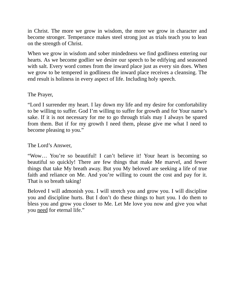in Christ. The more we grow in wisdom, the more we grow in character and become stronger. Temperance makes steel strong just as trials teach you to lean on the strength of Christ.

When we grow in wisdom and sober mindedness we find godliness entering our hearts. As we become godlier we desire our speech to be edifying and seasoned with salt. Every word comes from the inward place just as every sin does. When we grow to be tempered in godliness the inward place receives a cleansing. The end result is holiness in every aspect of life. Including holy speech.

#### The Prayer,

"Lord I surrender my heart. I lay down my life and my desire for comfortability to be willing to suffer. God I'm willing to suffer for growth and for Your name's sake. If it is not necessary for me to go through trials may I always be spared from them. But if for my growth I need them, please give me what I need to become pleasing to you."

The Lord's Answer,

"Wow… You're so beautiful! I can't believe it! Your heart is becoming so beautiful so quickly! There are few things that make Me marvel, and fewer things that take My breath away. But you My beloved are seeking a life of true faith and reliance on Me. And you're willing to count the cost and pay for it. That is so breath taking!

Beloved I will admonish you. I will stretch you and grow you. I will discipline you and discipline hurts. But I don't do these things to hurt you. I do them to bless you and grow you closer to Me. Let Me love you now and give you what you need for eternal life."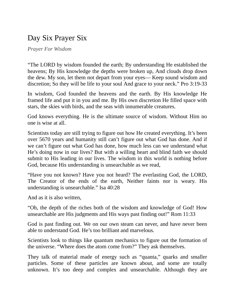## <span id="page-38-0"></span>Day Six Prayer Six

*Prayer For Wisdom*

"The LORD by wisdom founded the earth; By understanding He established the heavens; By His knowledge the depths were broken up, And clouds drop down the dew. My son, let them not depart from your eyes— Keep sound wisdom and discretion; So they will be life to your soul And grace to your neck." Pro 3:19-33

In wisdom, God founded the heavens and the earth. By His knowledge He framed life and put it in you and me. By His own discretion He filled space with stars, the skies with birds, and the seas with innumerable creatures.

God knows everything. He is the ultimate source of wisdom. Without Him no one is wise at all.

Scientists today are still trying to figure out how He created everything. It's been over 5670 years and humanity still can't figure out what God has done. And if we can't figure out what God has done, how much less can we understand what He's doing now in our lives? But with a willing heart and blind faith we should submit to His leading in our lives. The wisdom in this world is nothing before God, because His understanding is unsearchable as we read,

"Have you not known? Have you not heard? The everlasting God, the LORD, The Creator of the ends of the earth, Neither faints nor is weary. His understanding is unsearchable." Isa 40:28

And as it is also written,

"Oh, the depth of the riches both of the wisdom and knowledge of God! How unsearchable are His judgments and His ways past finding out!" Rom 11:33

God is past finding out. We on our own steam can never, and have never been able to understand God. He's too brilliant and marvelous.

Scientists look to things like quantum mechanics to figure out the formation of the universe. "Where does the atom come from?" They ask themselves.

They talk of material made of energy such as "quanta," quarks and smaller particles. Some of these particles are known about, and some are totally unknown. It's too deep and complex and unsearchable. Although they are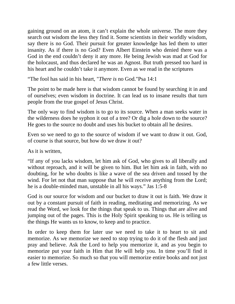gaining ground on an atom, it can't explain the whole universe. The more they search out wisdom the less they find it. Some scientists in their worldly wisdom, say there is no God. Their pursuit for greater knowledge has led them to utter insanity. As if there is no God? Even Albert Einstein who denied there was a God in the end couldn't deny it any more. He being Jewish was mad at God for the holocaust, and thus declared he was an Agnost. But truth pressed too hard in his heart and he couldn't take it anymore. Even as we read in the scriptures

"The fool has said in his heart, "*There is* no God."Psa 14:1

The point to be made here is that wisdom cannot be found by searching it in and of ourselves; even wisdom in doctrine. It can lead us to insane results that turn people from the true gospel of Jesus Christ.

The only way to find wisdom is to go to its source. When a man seeks water in the wilderness does he syphon it out of a tree? Or dig a hole down to the source? He goes to the source no doubt and uses his bucket to obtain all he desires.

Even so we need to go to the source of wisdom if we want to draw it out. God, of course is that source, but how do we draw it out?

As it is written,

"If any of you lacks wisdom, let him ask of God, who gives to all liberally and without reproach, and it will be given to him. But let him ask in faith, with no doubting, for he who doubts is like a wave of the sea driven and tossed by the wind. For let not that man suppose that he will receive anything from the Lord; he is a double-minded man, unstable in all his ways." Jas 1:5-8

God is our source for wisdom and our bucket to draw it out is faith. We draw it out by a constant pursuit of faith in reading, meditating and memorizing. As we read the Word, we look for the things that speak to us. Things that are alive and jumping out of the pages. This is the Holy Spirit speaking to us. He is telling us the things He wants us to know, to keep and to practice.

In order to keep them for later use we need to take it to heart to sit and memorize. As we memorize we need to stop trying to do it of the flesh and just pray and believe. Ask the Lord to help you memorize it, and as you begin to memorize put your faith in Him that He will help you. In time you'll find it easier to memorize. So much so that you will memorize entire books and not just a few little verses.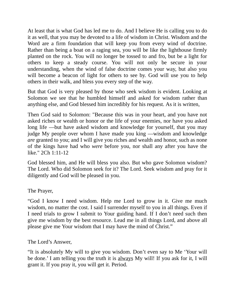At least that is what God has led me to do. And I believe He is calling you to do it as well, that you may be devoted to a life of wisdom in Christ. Wisdom and the Word are a firm foundation that will keep you from every wind of doctrine. Rather than being a boat on a raging sea, you will be like the lighthouse firmly planted on the rock. You will no longer be tossed to and fro, but be a light for others to keep a steady course. You will not only be secure in your understanding, when the wind of false doctrine comes your way, but also you will become a beacon of light for others to see by. God will use you to help others in their walk, and bless you every step of the way.

But that God is very pleased by those who seek wisdom is evident. Looking at Solomon we see that he humbled himself and asked for wisdom rather than anything else, and God blessed him incredibly for his request. As it is written,

Then God said to Solomon: "Because this was in your heart, and you have not asked riches or wealth or honor or the life of your enemies, nor have you asked long life —but have asked wisdom and knowledge for yourself, that you may judge My people over whom I have made you king —wisdom and knowledge *are* granted to you; and I will give you riches and wealth and honor, such as none of the kings have had who *were* before you, nor shall any after you have the like." 2Ch 1:11-12

God blessed him, and He will bless you also. But who gave Solomon wisdom? The Lord. Who did Solomon seek for it? The Lord. Seek wisdom and pray for it diligently and God will be pleased in you.

The Prayer,

"God I know I need wisdom. Help me Lord to grow in it. Give me much wisdom, no matter the cost. I said I surrender myself to you in all things. Even if I need trials to grow I submit to Your guiding hand. If I don't need such then give me wisdom by the best resource. Lead me in all things Lord, and above all please give me Your wisdom that I may have the mind of Christ."

The Lord's Answer,

"It is absolutely My will to give you wisdom. Don't even say to Me 'Your will be done.' I am telling you the truth it is always My will! If you ask for it, I will grant it. If you pray it, you will get it. Period.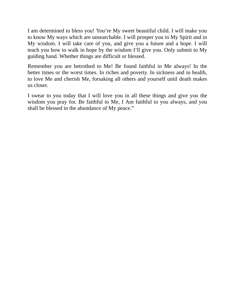I am determined to bless you! You're My sweet beautiful child. I will make you to know My ways which are unsearchable. I will prosper you in My Spirit and in My wisdom. I will take care of you, and give you a future and a hope. I will teach you how to walk in hope by the wisdom I'll give you. Only submit to My guiding hand. Whether things are difficult or blessed.

Remember you are betrothed to Me! Be found faithful in Me always! In the better times or the worst times. In riches and poverty. In sickness and in health, to love Me and cherish Me, forsaking all others and yourself until death makes us closer.

I swear to you today that I will love you in all these things and give you the wisdom you pray for. Be faithful to Me, I Am faithful to you always, and you shall be blessed in the abundance of My peace."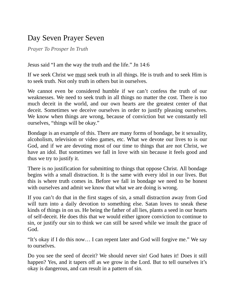#### <span id="page-42-0"></span>Day Seven Prayer Seven

*Prayer To Prosper In Truth*

Jesus said "I am the way the truth and the life." Jn 14:6

If we seek Christ we must seek truth in all things. He is truth and to seek Him is to seek truth. Not only truth in others but in ourselves.

We cannot even be considered humble if we can't confess the truth of our weaknesses. We need to seek truth in all things no matter the cost. There is too much deceit in the world, and our own hearts are the greatest center of that deceit. Sometimes we deceive ourselves in order to justify pleasing ourselves. We know when things are wrong, because of conviction but we constantly tell ourselves, "things will be okay."

Bondage is an example of this. There are many forms of bondage, be it sexuality, alcoholism, television or video games, etc. What we devote our lives to is our God, and if we are devoting most of our time to things that are not Christ, we have an idol. But sometimes we fall in love with sin because it feels good and thus we try to justify it.

There is no justification for submitting to things that oppose Christ. All bondage begins with a small distraction. It is the same with every idol in our lives. But this is where truth comes in. Before we fall in bondage we need to be honest with ourselves and admit we know that what we are doing is wrong.

If you can't do that in the first stages of sin, a small distraction away from God will turn into a daily devotion to something else. Satan loves to sneak these kinds of things in on us. He being the father of all lies, plants a seed in our hearts of self-deceit. He does this that we would either ignore conviction to continue to sin, or justify our sin to think we can still be saved while we insult the grace of God.

"It's okay if I do this now… I can repent later and God will forgive me." We say to ourselves.

Do you see the seed of deceit? We should never sin! God hates it! Does it still happen? Yes, and it tapers off as we grow in the Lord. But to tell ourselves it's okay is dangerous, and can result in a pattern of sin.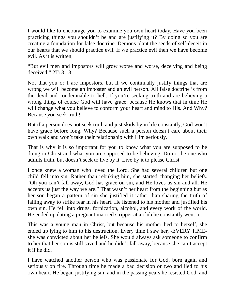I would like to encourage you to examine you own heart today. Have you been practicing things you shouldn't be and are justifying it? By doing so you are creating a foundation for false doctrine. Demons plant the seeds of self-deceit in our hearts that we should practice evil. If we practice evil then we have become evil. As it is written,

"But evil men and impostors will grow worse and worse, deceiving and being deceived." 2Ti 3:13

Not that you or I are impostors, but if we continually justify things that are wrong we will become an imposter and an evil person. All false doctrine is from the devil and condemnable to hell. If you're seeking truth and are believing a wrong thing, of course God will have grace, because He knows that in time He will change what you believe to conform your heart and mind to His. And Why? Because you seek truth!

But if a person does not seek truth and just skids by in life constantly, God won't have grace before long. Why? Because such a person doesn't care about their own walk and won't take their relationship with Him seriously.

That is why it is so important for you to know what you are supposed to be doing in Christ and what you are supposed to be believing. Do not be one who admits truth, but doesn't seek to live by it. Live by it to please Christ.

I once knew a woman who loved the Lord. She had several children but one child fell into sin. Rather than rebuking him, she started changing her beliefs. "Oh you can't fall away, God has grace on sin, and He loves us sin and all. He accepts us just the way we are." That wasn't her heart from the beginning but as her son began a pattern of sin she justified it rather than sharing the truth of falling away to strike fear in his heart. He listened to his mother and justified his own sin. He fell into drugs, fornication, alcohol, and every work of the world. He ended up dating a pregnant married stripper at a club he constantly went to.

This was a young man in Christ, but because his mother lied to herself, she ended up lying to him to his destruction. Every time I saw her, -EVERY TIMEshe was convicted about her beliefs. She would always ask someone to confirm to her that her son is still saved and he didn't fall away, because she can't accept it if he did.

I have watched another person who was passionate for God, born again and seriously on fire. Through time he made a bad decision or two and lied to his own heart. He began justifying sin, and in the passing years he resisted God, and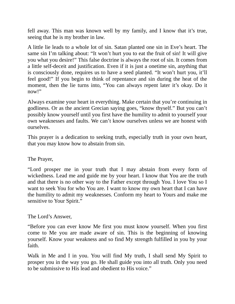fell away. This man was known well by my family, and I know that it's true, seeing that he is my brother in law.

A little lie leads to a whole lot of sin. Satan planted one sin in Eve's heart. The same sin I'm talking about: "It won't hurt you to eat the fruit of sin! It will give you what you desire!" This false doctrine is always the root of sin. It comes from a little self-deceit and justification. Even if it is just a onetime sin, anything that is consciously done, requires us to have a seed planted. "It won't hurt you, it'll feel good!" If you begin to think of repentance and sin during the heat of the moment, then the lie turns into, "You can always repent later it's okay. Do it now!"

Always examine your heart in everything. Make certain that you're continuing in godliness. Or as the ancient Grecian saying goes, "know thyself." But you can't possibly know yourself until you first have the humility to admit to yourself your own weaknesses and faults. We can't know ourselves unless we are honest with ourselves.

This prayer is a dedication to seeking truth, especially truth in your own heart, that you may know how to abstain from sin.

The Prayer,

"Lord prosper me in your truth that I may abstain from every form of wickedness. Lead me and guide me by your heart. I know that You are the truth and that there is no other way to the Father except through You. I love You so I want to seek You for who You are. I want to know my own heart that I can have the humility to admit my weaknesses. Conform my heart to Yours and make me sensitive to Your Spirit."

The Lord's Answer,

"Before you can ever know Me first you must know yourself. When you first come to Me you are made aware of sin. This is the beginning of knowing yourself. Know your weakness and so find My strength fulfilled in you by your faith.

Walk in Me and I in you. You will find My truth, I shall send My Spirit to prosper you in the way you go. He shall guide you into all truth. Only you need to be submissive to His lead and obedient to His voice."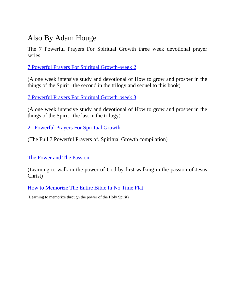## <span id="page-46-0"></span>Also By Adam Houge

The 7 Powerful Prayers For Spiritual Growth three week devotional prayer series

7 Powerful Prayers For Spiritual [Growth–week](http://www.amazon.com/Prayers-Prosperity-Sequel-Devotionals-ebook/dp/B00CL45Z2Q/ref=la_B00C5TWNAO_1_5?ie=UTF8&qid=1367553888&sr=1-5) 2

(A one week intensive study and devotional of How to grow and prosper in the things of the Spirit –the second in the trilogy and sequel to this book)

7 Powerful Prayers For Spiritual [Growth–week](http://www.amazon.com/Prayers-Prosperity-Trilogy-Devotionals-ebook/dp/B00CLDQJHC/ref=la_B00C5TWNAO_1_4?ie=UTF8&qid=1367553678&sr=1-4) 3

(A one week intensive study and devotional of How to grow and prosper in the things of the Spirit –the last in the trilogy)

21 [Powerful](http://www.amazon.com/Prayers-Prosperity-Trilogy-Devotionals-ebook/dp/B00CLFDIN8/ref=la_B00C5TWNAO_1_3?ie=UTF8&qid=1367553450&sr=1-3) Prayers For Spiritual Growth

(The Full 7 Powerful Prayers of. Spiritual Growth compilation)

The Power and The [Passion](http://www.amazon.com/The-Power-And-Passion-ebook/dp/B00C5ND15Q/ref=sr_1_3?s=digital-text&ie=UTF8&qid=1366977891&sr=1-3&keywords=adam+houge)

(Learning to walk in the power of God by first walking in the passion of Jesus Christ)

How to [Memorize](http://www.amazon.com/Memorize-Entire-Bible-Time-ebook/dp/B00C7CZRDO/ref=sr_1_1?s=digital-text&ie=UTF8&qid=1366980562&sr=1-1&keywords=adam+houge) The Entire Bible In No Time Flat

(Learning to memorize through the power of the Holy Spirit)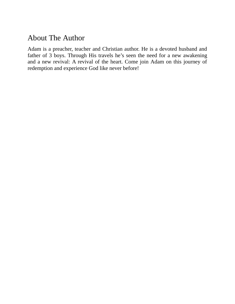#### <span id="page-47-0"></span>About The Author

Adam is a preacher, teacher and Christian author. He is a devoted husband and father of 3 boys. Through His travels he's seen the need for a new awakening and a new revival: A revival of the heart. Come join Adam on this journey of redemption and experience God like never before!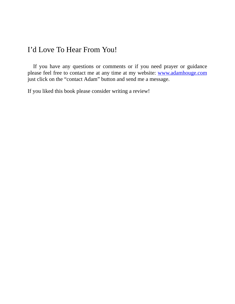#### <span id="page-48-0"></span>I'd Love To Hear From You!

If you have any questions or comments or if you need prayer or guidance please feel free to contact me at any time at my website: [www.adamhouge.com](http://www.adamhouge.com/contact) just click on the "contact Adam" button and send me a message.

If you liked this book please consider writing a review!